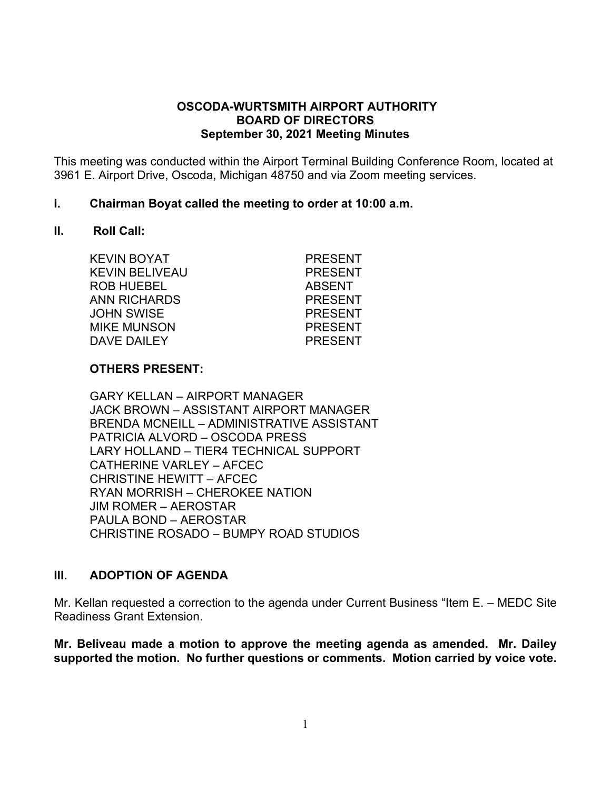#### **OSCODA-WURTSMITH AIRPORT AUTHORITY BOARD OF DIRECTORS September 30, 2021 Meeting Minutes**

This meeting was conducted within the Airport Terminal Building Conference Room, located at 3961 E. Airport Drive, Oscoda, Michigan 48750 and via Zoom meeting services.

#### **I. Chairman Boyat called the meeting to order at 10:00 a.m.**

#### **II. Roll Call:**

| <b>PRESENT</b> |
|----------------|
| <b>PRESENT</b> |
| <b>ABSENT</b>  |
| <b>PRESENT</b> |
| <b>PRESENT</b> |
| <b>PRESENT</b> |
| <b>PRESENT</b> |
|                |

#### **OTHERS PRESENT:**

GARY KELLAN – AIRPORT MANAGER JACK BROWN – ASSISTANT AIRPORT MANAGER BRENDA MCNEILL – ADMINISTRATIVE ASSISTANT PATRICIA ALVORD – OSCODA PRESS LARY HOLLAND – TIER4 TECHNICAL SUPPORT CATHERINE VARLEY – AFCEC CHRISTINE HEWITT – AFCEC RYAN MORRISH – CHEROKEE NATION JIM ROMER – AEROSTAR PAULA BOND – AEROSTAR CHRISTINE ROSADO – BUMPY ROAD STUDIOS

#### **III. ADOPTION OF AGENDA**

Mr. Kellan requested a correction to the agenda under Current Business "Item E. – MEDC Site Readiness Grant Extension.

**Mr. Beliveau made a motion to approve the meeting agenda as amended. Mr. Dailey supported the motion. No further questions or comments. Motion carried by voice vote.**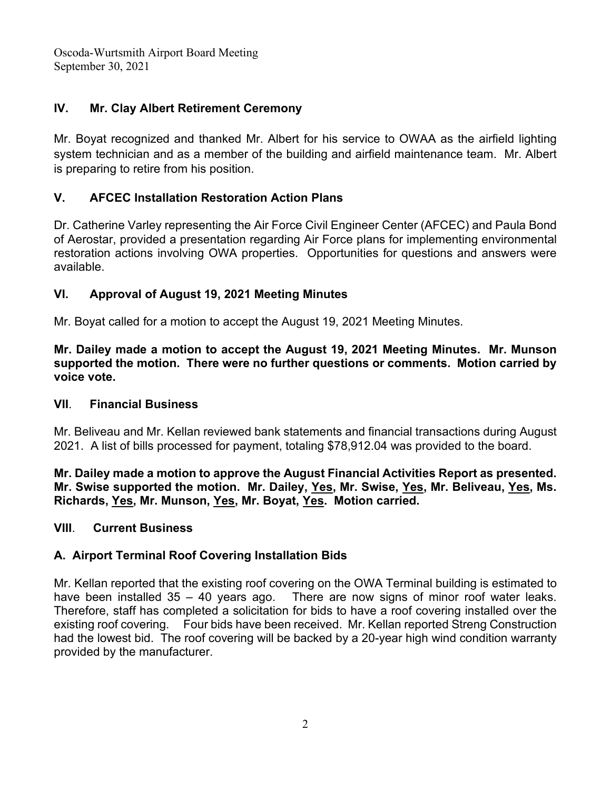# **IV. Mr. Clay Albert Retirement Ceremony**

Mr. Boyat recognized and thanked Mr. Albert for his service to OWAA as the airfield lighting system technician and as a member of the building and airfield maintenance team. Mr. Albert is preparing to retire from his position.

## **V. AFCEC Installation Restoration Action Plans**

Dr. Catherine Varley representing the Air Force Civil Engineer Center (AFCEC) and Paula Bond of Aerostar, provided a presentation regarding Air Force plans for implementing environmental restoration actions involving OWA properties. Opportunities for questions and answers were available.

# **VI. Approval of August 19, 2021 Meeting Minutes**

Mr. Boyat called for a motion to accept the August 19, 2021 Meeting Minutes.

**Mr. Dailey made a motion to accept the August 19, 2021 Meeting Minutes. Mr. Munson supported the motion. There were no further questions or comments. Motion carried by voice vote.** 

#### **VII**. **Financial Business**

Mr. Beliveau and Mr. Kellan reviewed bank statements and financial transactions during August 2021. A list of bills processed for payment, totaling \$78,912.04 was provided to the board.

**Mr. Dailey made a motion to approve the August Financial Activities Report as presented. Mr. Swise supported the motion. Mr. Dailey, Yes, Mr. Swise, Yes, Mr. Beliveau, Yes, Ms. Richards, Yes, Mr. Munson, Yes, Mr. Boyat, Yes. Motion carried.**

#### **VIII**. **Current Business**

#### **A. Airport Terminal Roof Covering Installation Bids**

Mr. Kellan reported that the existing roof covering on the OWA Terminal building is estimated to have been installed 35 – 40 years ago. There are now signs of minor roof water leaks. Therefore, staff has completed a solicitation for bids to have a roof covering installed over the existing roof covering. Four bids have been received. Mr. Kellan reported Streng Construction had the lowest bid. The roof covering will be backed by a 20-year high wind condition warranty provided by the manufacturer.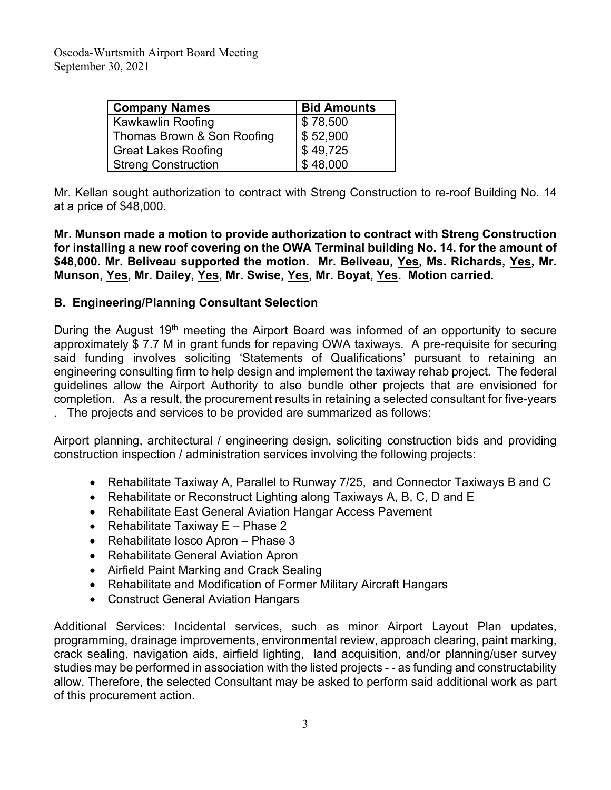| <b>Company Names</b>       | <b>Bid Amounts</b> |
|----------------------------|--------------------|
| Kawkawlin Roofing          | \$78,500           |
| Thomas Brown & Son Roofing | \$52,900           |
| <b>Great Lakes Roofing</b> | \$49,725           |
| <b>Streng Construction</b> | \$48,000           |

Mr. Kellan sought authorization to contract with Streng Construction to re-roof Building No. 14 at a price of \$48,000.

**Mr. Munson made a motion to provide authorization to contract with Streng Construction for installing a new roof covering on the OWA Terminal building No. 14. for the amount of \$48,000. Mr. Beliveau supported the motion. Mr. Beliveau, Yes, Ms. Richards, Yes, Mr. Munson, Yes, Mr. Dailey, Yes, Mr. Swise, Yes, Mr. Boyat, Yes. Motion carried.**

#### **B. Engineering/Planning Consultant Selection**

During the August 19<sup>th</sup> meeting the Airport Board was informed of an opportunity to secure approximately \$ 7.7 M in grant funds for repaving OWA taxiways. A pre-requisite for securing said funding involves soliciting 'Statements of Qualifications' pursuant to retaining an engineering consulting firm to help design and implement the taxiway rehab project. The federal guidelines allow the Airport Authority to also bundle other projects that are envisioned for completion. As a result, the procurement results in retaining a selected consultant for five-years . The projects and services to be provided are summarized as follows:

Airport planning, architectural / engineering design, soliciting construction bids and providing construction inspection / administration services involving the following projects:

- Rehabilitate Taxiway A, Parallel to Runway 7/25, and Connector Taxiways B and C
- Rehabilitate or Reconstruct Lighting along Taxiways A, B, C, D and E
- Rehabilitate East General Aviation Hangar Access Pavement
- Rehabilitate Taxiway E Phase 2
- Rehabilitate Iosco Apron Phase 3
- Rehabilitate General Aviation Apron
- Airfield Paint Marking and Crack Sealing
- Rehabilitate and Modification of Former Military Aircraft Hangars
- Construct General Aviation Hangars

Additional Services: Incidental services, such as minor Airport Layout Plan updates, programming, drainage improvements, environmental review, approach clearing, paint marking, crack sealing, navigation aids, airfield lighting, land acquisition, and/or planning/user survey studies may be performed in association with the listed projects - - as funding and constructability allow. Therefore, the selected Consultant may be asked to perform said additional work as part of this procurement action.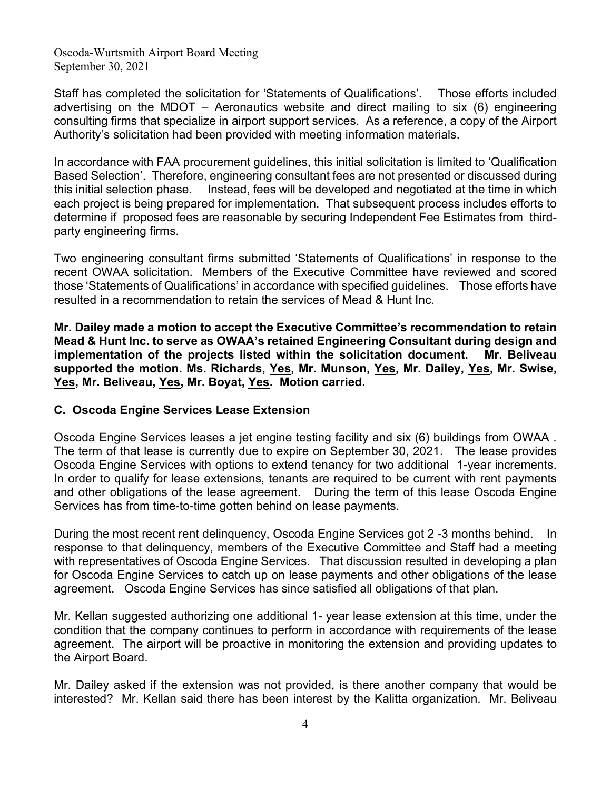Staff has completed the solicitation for 'Statements of Qualifications'. Those efforts included advertising on the MDOT – Aeronautics website and direct mailing to six (6) engineering consulting firms that specialize in airport support services. As a reference, a copy of the Airport Authority's solicitation had been provided with meeting information materials.

In accordance with FAA procurement guidelines, this initial solicitation is limited to 'Qualification Based Selection'. Therefore, engineering consultant fees are not presented or discussed during this initial selection phase. Instead, fees will be developed and negotiated at the time in which each project is being prepared for implementation. That subsequent process includes efforts to determine if proposed fees are reasonable by securing Independent Fee Estimates from thirdparty engineering firms.

Two engineering consultant firms submitted 'Statements of Qualifications' in response to the recent OWAA solicitation. Members of the Executive Committee have reviewed and scored those 'Statements of Qualifications' in accordance with specified guidelines. Those efforts have resulted in a recommendation to retain the services of Mead & Hunt Inc.

**Mr. Dailey made a motion to accept the Executive Committee's recommendation to retain Mead & Hunt Inc. to serve as OWAA's retained Engineering Consultant during design and implementation of the projects listed within the solicitation document. Mr. Beliveau supported the motion. Ms. Richards, Yes, Mr. Munson, Yes, Mr. Dailey, Yes, Mr. Swise, Yes, Mr. Beliveau, Yes, Mr. Boyat, Yes. Motion carried.**

#### **C. Oscoda Engine Services Lease Extension**

Oscoda Engine Services leases a jet engine testing facility and six (6) buildings from OWAA . The term of that lease is currently due to expire on September 30, 2021. The lease provides Oscoda Engine Services with options to extend tenancy for two additional 1-year increments. In order to qualify for lease extensions, tenants are required to be current with rent payments and other obligations of the lease agreement. During the term of this lease Oscoda Engine Services has from time-to-time gotten behind on lease payments.

During the most recent rent delinquency, Oscoda Engine Services got 2 -3 months behind. In response to that delinquency, members of the Executive Committee and Staff had a meeting with representatives of Oscoda Engine Services. That discussion resulted in developing a plan for Oscoda Engine Services to catch up on lease payments and other obligations of the lease agreement. Oscoda Engine Services has since satisfied all obligations of that plan.

Mr. Kellan suggested authorizing one additional 1- year lease extension at this time, under the condition that the company continues to perform in accordance with requirements of the lease agreement. The airport will be proactive in monitoring the extension and providing updates to the Airport Board.

Mr. Dailey asked if the extension was not provided, is there another company that would be interested? Mr. Kellan said there has been interest by the Kalitta organization. Mr. Beliveau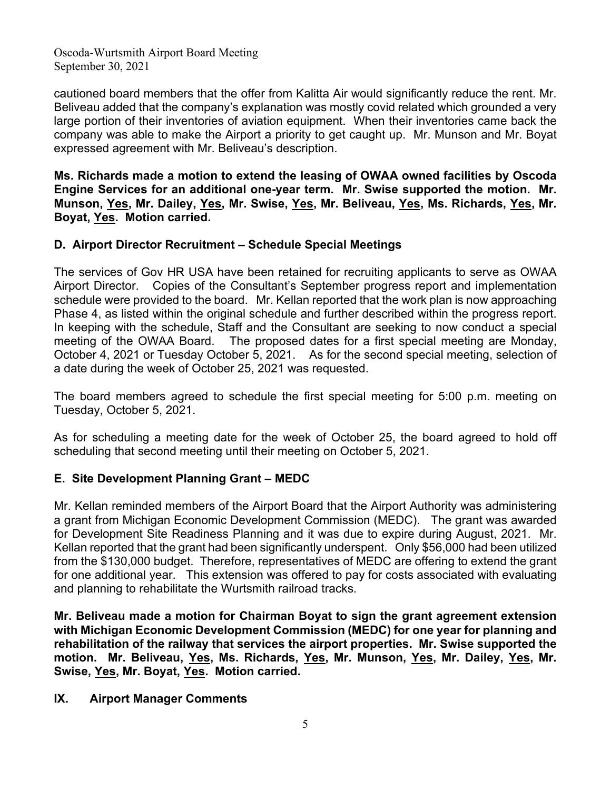cautioned board members that the offer from Kalitta Air would significantly reduce the rent. Mr. Beliveau added that the company's explanation was mostly covid related which grounded a very large portion of their inventories of aviation equipment. When their inventories came back the company was able to make the Airport a priority to get caught up. Mr. Munson and Mr. Boyat expressed agreement with Mr. Beliveau's description.

**Ms. Richards made a motion to extend the leasing of OWAA owned facilities by Oscoda Engine Services for an additional one-year term. Mr. Swise supported the motion. Mr. Munson, Yes, Mr. Dailey, Yes, Mr. Swise, Yes, Mr. Beliveau, Yes, Ms. Richards, Yes, Mr. Boyat, Yes. Motion carried.**

# **D. Airport Director Recruitment – Schedule Special Meetings**

The services of Gov HR USA have been retained for recruiting applicants to serve as OWAA Airport Director. Copies of the Consultant's September progress report and implementation schedule were provided to the board. Mr. Kellan reported that the work plan is now approaching Phase 4, as listed within the original schedule and further described within the progress report. In keeping with the schedule, Staff and the Consultant are seeking to now conduct a special meeting of the OWAA Board. The proposed dates for a first special meeting are Monday, October 4, 2021 or Tuesday October 5, 2021. As for the second special meeting, selection of a date during the week of October 25, 2021 was requested.

The board members agreed to schedule the first special meeting for 5:00 p.m. meeting on Tuesday, October 5, 2021.

As for scheduling a meeting date for the week of October 25, the board agreed to hold off scheduling that second meeting until their meeting on October 5, 2021.

#### **E. Site Development Planning Grant – MEDC**

Mr. Kellan reminded members of the Airport Board that the Airport Authority was administering a grant from Michigan Economic Development Commission (MEDC). The grant was awarded for Development Site Readiness Planning and it was due to expire during August, 2021. Mr. Kellan reported that the grant had been significantly underspent. Only \$56,000 had been utilized from the \$130,000 budget. Therefore, representatives of MEDC are offering to extend the grant for one additional year. This extension was offered to pay for costs associated with evaluating and planning to rehabilitate the Wurtsmith railroad tracks.

**Mr. Beliveau made a motion for Chairman Boyat to sign the grant agreement extension with Michigan Economic Development Commission (MEDC) for one year for planning and rehabilitation of the railway that services the airport properties. Mr. Swise supported the motion. Mr. Beliveau, Yes, Ms. Richards, Yes, Mr. Munson, Yes, Mr. Dailey, Yes, Mr. Swise, Yes, Mr. Boyat, Yes. Motion carried.**

# **IX. Airport Manager Comments**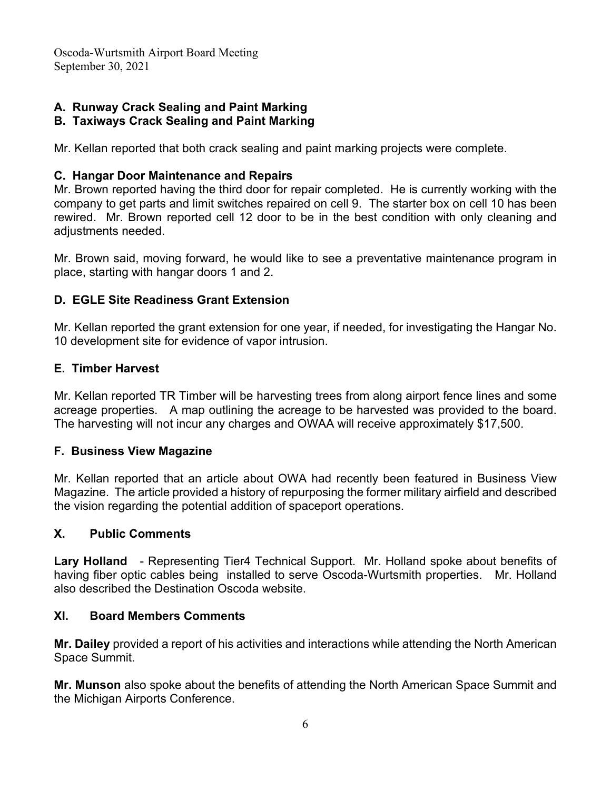# **A. Runway Crack Sealing and Paint Marking**

# **B. Taxiways Crack Sealing and Paint Marking**

Mr. Kellan reported that both crack sealing and paint marking projects were complete.

## **C. Hangar Door Maintenance and Repairs**

Mr. Brown reported having the third door for repair completed. He is currently working with the company to get parts and limit switches repaired on cell 9. The starter box on cell 10 has been rewired. Mr. Brown reported cell 12 door to be in the best condition with only cleaning and adjustments needed.

Mr. Brown said, moving forward, he would like to see a preventative maintenance program in place, starting with hangar doors 1 and 2.

## **D. EGLE Site Readiness Grant Extension**

Mr. Kellan reported the grant extension for one year, if needed, for investigating the Hangar No. 10 development site for evidence of vapor intrusion.

## **E. Timber Harvest**

Mr. Kellan reported TR Timber will be harvesting trees from along airport fence lines and some acreage properties. A map outlining the acreage to be harvested was provided to the board. The harvesting will not incur any charges and OWAA will receive approximately \$17,500.

#### **F. Business View Magazine**

Mr. Kellan reported that an article about OWA had recently been featured in Business View Magazine. The article provided a history of repurposing the former military airfield and described the vision regarding the potential addition of spaceport operations.

#### **X. Public Comments**

**Lary Holland** - Representing Tier4 Technical Support. Mr. Holland spoke about benefits of having fiber optic cables being installed to serve Oscoda-Wurtsmith properties. Mr. Holland also described the Destination Oscoda website.

#### **XI. Board Members Comments**

**Mr. Dailey** provided a report of his activities and interactions while attending the North American Space Summit.

**Mr. Munson** also spoke about the benefits of attending the North American Space Summit and the Michigan Airports Conference.